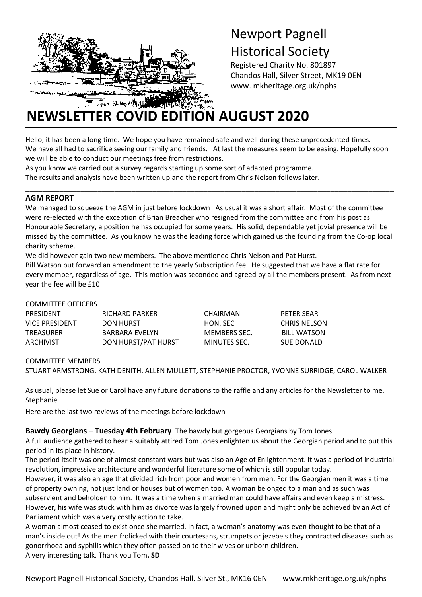

## Newport Pagnell Historical Society

Registered Charity No. 801897 Chandos Hall, Silver Street, MK19 0EN www. mkheritage.org.uk/nphs

# **NEWSLETTER COVID EDITION AUGUST 2020**

Hello, it has been a long time. We hope you have remained safe and well during these unprecedented times. We have all had to sacrifice seeing our family and friends. At last the measures seem to be easing. Hopefully soon we will be able to conduct our meetings free from restrictions.

As you know we carried out a survey regards starting up some sort of adapted programme.

The results and analysis have been written up and the report from Chris Nelson follows later.

#### **AGM REPORT**

We managed to squeeze the AGM in just before lockdown As usual it was a short affair. Most of the committee were re-elected with the exception of Brian Breacher who resigned from the committee and from his post as Honourable Secretary, a position he has occupied for some years. His solid, dependable yet jovial presence will be missed by the committee. As you know he was the leading force which gained us the founding from the Co-op local charity scheme.

**\_\_\_\_\_\_\_\_\_\_\_\_\_\_\_\_\_\_\_\_\_\_\_\_\_\_\_\_\_\_\_\_\_\_\_\_\_\_\_\_\_\_\_\_\_\_\_\_\_\_\_\_\_\_\_\_\_\_\_\_\_\_\_\_\_\_\_\_\_\_\_\_\_\_\_\_\_\_\_\_\_\_\_\_\_\_\_**

We did however gain two new members. The above mentioned Chris Nelson and Pat Hurst.

Bill Watson put forward an amendment to the yearly Subscription fee. He suggested that we have a flat rate for every member, regardless of age. This motion was seconded and agreed by all the members present. As from next year the fee will be £10

#### COMMITTEE OFFICERS

| PRESIDENT      | RICHARD PARKER      | CHAIRMAN     | PETER SEAR   |
|----------------|---------------------|--------------|--------------|
| VICE PRESIDENT | DON HURST           | HON. SEC     | CHRIS NELSON |
| TREASURER      | BARBARA EVELYN      | MEMBERS SEC. | BILL WATSON  |
| ARCHIVIST      | DON HURST/PAT HURST | MINUTES SEC. | SUE DONALD   |

COMMITTEE MEMBERS

STUART ARMSTRONG, KATH DENITH, ALLEN MULLETT, STEPHANIE PROCTOR, YVONNE SURRIDGE, CAROL WALKER

As usual, please let Sue or Carol have any future donations to the raffle and any articles for the Newsletter to me, Stephanie.

Here are the last two reviews of the meetings before lockdown

#### **Bawdy Georgians – Tuesday 4th February** The bawdy but gorgeous Georgians by Tom Jones.

A full audience gathered to hear a suitably attired Tom Jones enlighten us about the Georgian period and to put this period in its place in history.

The period itself was one of almost constant wars but was also an Age of Enlightenment. It was a period of industrial revolution, impressive architecture and wonderful literature some of which is still popular today.

However, it was also an age that divided rich from poor and women from men. For the Georgian men it was a time of property owning, not just land or houses but of women too. A woman belonged to a man and as such was subservient and beholden to him. It was a time when a married man could have affairs and even keep a mistress. However, his wife was stuck with him as divorce was largely frowned upon and might only be achieved by an Act of Parliament which was a very costly action to take.

A woman almost ceased to exist once she married. In fact, a woman's anatomy was even thought to be that of a man's inside out! As the men frolicked with their courtesans, strumpets or jezebels they contracted diseases such as gonorrhoea and syphilis which they often passed on to their wives or unborn children. A very interesting talk. Thank you Tom**. SD**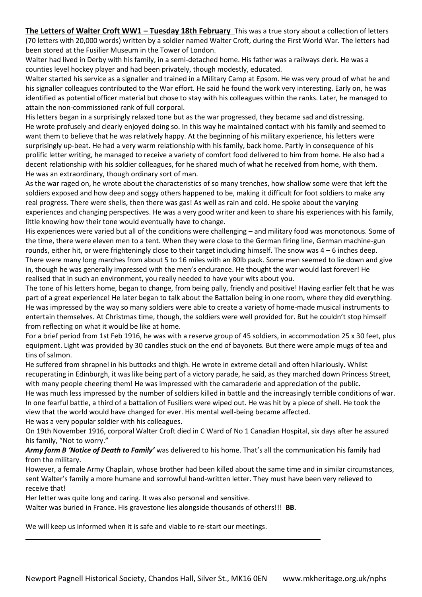**The Letters of Walter Croft WW1 – Tuesday 18th February** This was a true story about a collection of letters (70 letters with 20,000 words) written by a soldier named Walter Croft, during the First World War. The letters had been stored at the Fusilier Museum in the Tower of London.

Walter had lived in Derby with his family, in a semi-detached home. His father was a railways clerk. He was a counties level hockey player and had been privately, though modestly, educated.

Walter started his service as a signaller and trained in a Military Camp at Epsom. He was very proud of what he and his signaller colleagues contributed to the War effort. He said he found the work very interesting. Early on, he was identified as potential officer material but chose to stay with his colleagues within the ranks. Later, he managed to attain the non-commissioned rank of full corporal.

His letters began in a surprisingly relaxed tone but as the war progressed, they became sad and distressing. He wrote profusely and clearly enjoyed doing so. In this way he maintained contact with his family and seemed to want them to believe that he was relatively happy. At the beginning of his military experience, his letters were surprisingly up-beat. He had a very warm relationship with his family, back home. Partly in consequence of his prolific letter writing, he managed to receive a variety of comfort food delivered to him from home. He also had a decent relationship with his soldier colleagues, for he shared much of what he received from home, with them. He was an extraordinary, though ordinary sort of man.

As the war raged on, he wrote about the characteristics of so many trenches, how shallow some were that left the soldiers exposed and how deep and soggy others happened to be, making it difficult for foot soldiers to make any real progress. There were shells, then there was gas! As well as rain and cold. He spoke about the varying experiences and changing perspectives. He was a very good writer and keen to share his experiences with his family, little knowing how their tone would eventually have to change.

His experiences were varied but all of the conditions were challenging – and military food was monotonous. Some of the time, there were eleven men to a tent. When they were close to the German firing line, German machine-gun rounds, either hit, or were frighteningly close to their target including himself. The snow was  $4-6$  inches deep. There were many long marches from about 5 to 16 miles with an 80lb pack. Some men seemed to lie down and give in, though he was generally impressed with the men's endurance. He thought the war would last forever! He realised that in such an environment, you really needed to have your wits about you.

The tone of his letters home, began to change, from being pally, friendly and positive! Having earlier felt that he was part of a great experience! He later began to talk about the Battalion being in one room, where they did everything. He was impressed by the way so many soldiers were able to create a variety of home-made musical instruments to entertain themselves. At Christmas time, though, the soldiers were well provided for. But he couldn't stop himself from reflecting on what it would be like at home.

For a brief period from 1st Feb 1916, he was with a reserve group of 45 soldiers, in accommodation 25 x 30 feet, plus equipment. Light was provided by 30 candles stuck on the end of bayonets. But there were ample mugs of tea and tins of salmon.

He suffered from shrapnel in his buttocks and thigh. He wrote in extreme detail and often hilariously. Whilst recuperating in Edinburgh, it was like being part of a victory parade, he said, as they marched down Princess Street, with many people cheering them! He was impressed with the camaraderie and appreciation of the public.

He was much less impressed by the number of soldiers killed in battle and the increasingly terrible conditions of war. In one fearful battle, a third of a battalion of Fusiliers were wiped out. He was hit by a piece of shell. He took the view that the world would have changed for ever. His mental well-being became affected.

He was a very popular soldier with his colleagues.

On 19th November 1916, corporal Walter Croft died in C Ward of No 1 Canadian Hospital, six days after he assured his family, "Not to worry."

*Army form B 'Notice of Death to Family'* was delivered to his home. That's all the communication his family had from the military.

However, a female Army Chaplain, whose brother had been killed about the same time and in similar circumstances, sent Walter's family a more humane and sorrowful hand-written letter. They must have been very relieved to receive that!

Her letter was quite long and caring. It was also personal and sensitive.

Walter was buried in France. His gravestone lies alongside thousands of others!!! **BB**.

**\_\_\_\_\_\_\_\_\_\_\_\_\_\_\_\_\_\_\_\_\_\_\_\_\_\_\_\_\_\_\_\_\_\_\_\_\_\_\_\_\_\_\_\_\_\_\_\_\_\_\_\_\_\_\_\_\_\_\_\_\_\_\_\_\_\_\_\_\_\_\_\_\_\_\_\_**

We will keep us informed when it is safe and viable to re-start our meetings.